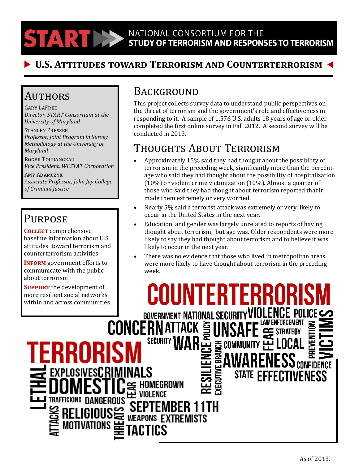NATIONAL CONSORTIUM FOR THE **TARTIES** STUDY OF TERRORISM AND RESPONSES TO TERRORISM

### **U.S. Attitudes toward Terrorism and Counterterrorism**

#### Authors

Gary LaFree *Director, START Consortium at the University of Maryland*

Stanley Presser *Professor, Joint Program in Survey Methodology at the University of Maryland*

Roger Tourangeau *Vice President, WESTAT Corporation*

Amy Adamczyk *Associate Professor, John Jay College of Criminal Justice*

### **PURPOSE**

**Collect** comprehensive baseline information about U.S. attitudes toward terrorism and counterterrorism activities

**INFORM** government efforts to communicate with the public about terrorism

**SUPPORT** the development of more resilient social networks within and across communities

EXPLOSIVESCRI

TRAFFICKING DANGEROUS

### **BACKGROUND**

This project collects survey data to understand public perspectives on the threat of terrorism and the government's role and effectiveness in responding to it. A sample of 1,576 U.S. adults 18 years of age or older completed the first online survey in Fall 2012. A second survey will be conducted in 2013.

## Thoughts About Terrorism

- Approximately 15% said they had thought about the possibility of terrorism in the preceding week, significantly more than the percentage who said they had thought about the possibility of hospitalization (10%) or violent crime victimization (10%). Almost a quarter of those who said they had thought about terrorism reported that it made them extremely or very worried.
- Nearly 5% said a terrorist attack was extremely or very likely to occur in the United States in the next year.
- Education and gender was largely unrelated to reports of having thought about terrorism, but age was. Older respondents were more likely to say they had thought about terrorism and to believe it was likely to occur in the next year.
- There was no evidence that those who lived in metropolitan areas were more likely to have thought about terrorism in the preceding week.

IFI **GOVERNMENT NATIONAL SECURIT CONCERNATTACK SI SECURITY** <u>중 COMM</u> EBRAI ) enfidence<br>Confidence **WEAPONS EXTREMISTS**